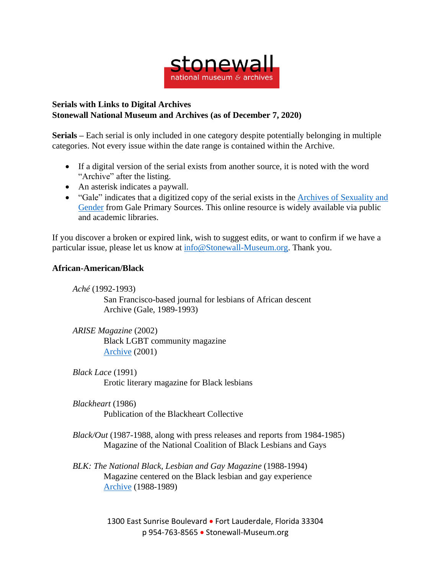

## **Serials with Links to Digital Archives Stonewall National Museum and Archives (as of December 7, 2020)**

**Serials –** Each serial is only included in one category despite potentially belonging in multiple categories. Not every issue within the date range is contained within the Archive.

- If a digital version of the serial exists from another source, it is noted with the word "Archive" after the listing.
- An asterisk indicates a paywall.
- "Gale" indicates that a digitized copy of the serial exists in the Archives of [Sexuality](https://www.gale.com/primary-sources/archives-of-sexuality-and-gender) and [Gender](https://www.gale.com/primary-sources/archives-of-sexuality-and-gender) from Gale Primary Sources. This online resource is widely available via public and academic libraries.

If you discover a broken or expired link, wish to suggest edits, or want to confirm if we have a particular issue, please let us know at [info@Stonewall-Museum.org.](mailto:info@Stonewall-Museum.org) Thank you.

# **African-American/Black**

*Aché* (1992-1993)

San Francisco-based journal for lesbians of African descent Archive (Gale, 1989-1993)

*ARISE Magazine* (2002) Black LGBT community magazine [Archive](https://www.yumpu.com/en/document/read/25569292/arise-magazine) (2001)

*Black Lace* (1991) Erotic literary magazine for Black lesbians

*Blackheart* (1986) Publication of the Blackheart Collective

*Black/Out* (1987-1988, along with press releases and reports from 1984-1985) Magazine of the National Coalition of Black Lesbians and Gays

*BLK: The National Black, Lesbian and Gay Magazine* (1988-1994) Magazine centered on the Black lesbian and gay experience [Archive](https://nmaahc.si.edu/explore/collection/search?edan_local=1&edan_q=blk&) (1988-1989)

> 1300 East Sunrise Boulevard • Fort Lauderdale, Florida 33304 p 954-763-8565 • Stonewall-Museum.org